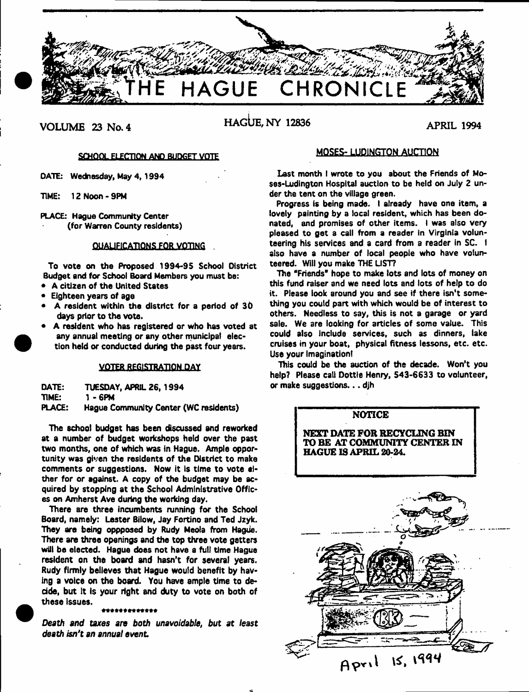

# VOLUME 23 No. 4 HAGUE, NY 12836 APRIL 1994

## SCHOOL ELECTION AND BUDGET VOTE

DATE: Wednesday, May 4, 1994

TIME: 12 Noon-9PM

PLACE: Hague Community Center (for Warren County residents)

## QUALIFICATIONS FOR VOTING

To vote on the Proposed 1994-95 School District Budget and for School Board Members you must be:

- A citizen of the United States
- Eighteen years of age
- A resident within the district for a period of 3d days prior to the vote.
- A resident who has registered or who has voted at any annual meeting or any other municipal election held or conducted during the past four years.

## VOTER REGISTRATION DAY

| DATE:         | TUESDAY, APRIL 26, 1994                      |
|---------------|----------------------------------------------|
| TIME:         | 1 - 6PM                                      |
| <b>PLACE:</b> | <b>Hague Community Center (WC residents)</b> |

The school budget has been discussed and reworked at a number of budget workshops held over the past two months, one of which was in Hague. Ample opportunity was given the residents of the District to make comments or suggestions. Now it is time to vote either for or against. A copy of the budget may be acquired by stopping at the School Administrative Offices on Amherst Ave during the working day.

There are three incumbents running for the School Board, namely: Lester Bitow, Jay Fortino and Ted Jzyk. They are being oppposed by Rudy Meola from Hague. There are three openings and the top three vote getters will be elected. Hague does not have a full time Hague resident on the board and hasn't for several years. Rudy firmly believes that Hague would benefit by having a voice on the board. You have ample time to decide, but It Is your right and duty to vote on both of these Issues.

## \*\*\*\*\*\*\*\*\*\*\*\*\*

**Death** *and taxes are both unavoidable***,** *but at least death isn't an annual event*

## **MOSES- LUDINGTON AUCTION**

Last month I wrote to you about the Friends of Moses-Ludington Hospital auction to be held on July 2 under the tent on the village green.

Progress is being made. I already have one item, a lovely painting by a local resident, which has been donated, and promises of other items. I was also very pleased to get a call from a reader in Virginia volunteering his services and a card from a reader in SC. I also have a number of local people who have volunteered. Will you make THE LIST?

The "Friends" hope to make lots and lots of money on this fund raiser and we need lots and lots of help to do it. Please look around you and see if there isn't something you could part with which would be of interest to others. Needless to say, this is not a garage or yard sale. We are looking for articles of some value. This could also include services, such as dinners, lake cruises in your boat, physical fitness lessons, etc. etc. Use your Imagination!

This could be the auction of the decade. Won't you help7 Please call Dottfe Henry, 543-6633 to volunteer, or make suggestions.. . djh

**NOTICE** 

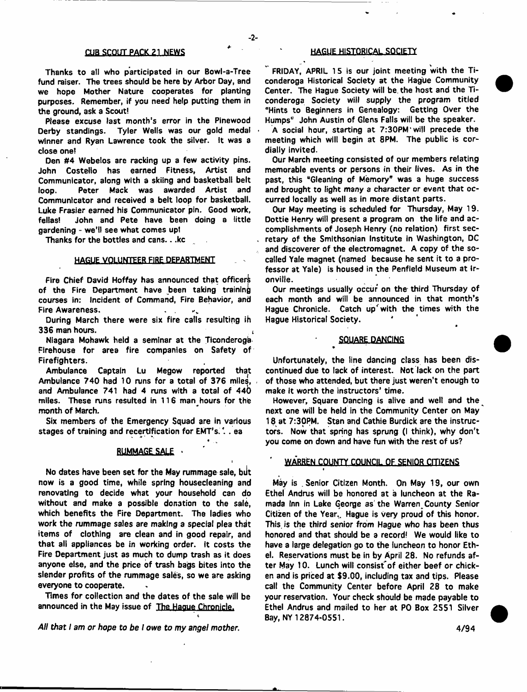#### CUB SCOUT PACK 21 NEWS

Thanks to all who participated in our Bowl-a-Tree fund raiser. The trees should be here by Arbor Day, and we hope Mother Nature cooperates for planting purposes. Remember, if you need help putting them in the ground, ask a Scout!

Please excuse last month's error in the Pinewood Derby standings. Tyler Wells was our gold medal winner and Ryan Lawrence took the silver. It was a close one!

Den #4 Webelos are racking up a few activity pins. John Costello has earned Fitness, Artist and Communicator, along with a skiing and basketball belt loop. Peter Mack was awarded Artist and Communicator and received a belt loop for basketball. Luke Frasier earned his Communicator pin. Good work, fellas! John and Pete have been doing a little gardening - we'll see what comes up!

Thanks for the bottles and cans.. .kc

#### HAGUE VOLUNTEER FIRE DEPARTMENT

Fire Chief David Hoffay has announced that officers of the Fire Department have been taking training courses in: Incident of Command, Fire Behavior, and Fire Awareness.

During March there were six fire calls resulting ih 336 man hours.

Niagara Mohawk held a seminar at the Ticonderoga Firehouse for area fire companies on Safety of Firefighters.

Ambulance Captain Lu Megow reported that Ambulance 740 had 10 runs for a total of 376 miles, and Ambulance 741 had 4 runs with a total of 440 miles. These runs resulted in 11 6 man hours for the month of March.

Six members of the Emergency Squad are in various stages of training and recertification for EMT's. . . ea

#### **RUMMAGE. SALE \***

\*

**t**

i

No dates have been set for the May rummage sale, blit now is a good time, white spring housecleaning and renovating to decide what your household can do without and make a possible donation to the sale, which benefits the Fire Department. The ladies who work the rummage sales are making a special plea thdt items of clothing are clean and in good repair, and that all appliances be in working order. It costs the Fire Department just as much to dump trash as it does anyone else, and the price of trash bags bites into the slender profits of the rummage sales, so we are asking everyone to cooperate.

Times for collection and the dates of the sale will be announced in the May issue of The Hague Chronicle.

*All that I am or hope to be I owe to my angel mother.*

## HAGUE HISTORICAL SOCIETY

FRIDAY, APRIL 15 is our joint meeting with the Ticonderoga Historical Society at the Hague Community Center. The Hague Society will be. the host and the Ticonderoga Society will supply the program titled "Hints to Beginners in Genealogy: Getting Over the Humps" John Austin of Glens Falls will be the speaker.

A social hour, starting at 7:30PM\* will precede the meeting which will begin at 8PM. The public is cordially invited.

Our March meeting consisted of our members relating memorable events or persons in their lives. As in the past, this "Gleaning of Memory" was a huge success and brought to light many a character or event that occurred locally as well as in more distant parts.

Our May meeting is scheduled for Thursday, May 19. Dottie Henry will present a program on the life and accomplishments of Joseph Henry (no relation) first secretary of the Smithsonian Institute in Washington, DC and discoverer of the electromagnet. A copy of the socalled Yale magnet (named because he sent it to a professor at Yale) is housed in the Penfield Museum at tronville. '

Our meetings usually occur on the third Thursday of each month and will be announced in that month's Hague Chronicle. Catch up'with the times with the Hague Historical Society.

# SQUARE DANCING

Unfortunately, the line dancing class has been discontinued due to lack of interest. Not lack on the part of those who attended, but there just weren't enough to make it worth the instructors' time.

However, Square Dancing is alive and welt and the ^ next one will be held in the Community Center on May 18 at 7:30PM. Stan and Cathie Burdick are the instructors. Now that spring has sprung (I think), why don't you come on down and have fun with the rest of us?

### **WARREN COUNTY COUNCIL OF SENIOR CITIZENS**

May is Senior Citizen Month. On May 19, our own Ethel Andrus will be honored at a luncheon at the Ramada Inn in Lake George as the Warren County Senior Citizen of the Year.. Hague is very proud of this honor. This, is the third senior from Hague who has been thus honored and that should be a record! We would like to have a large delegation go to the luncheon to honor Ethel. Reservations must be in by April 28. No refunds after May 10. Lunch will consisfof either beef or chicken and is priced at \$9.00, including tax and tips. Please call the Community Center before April 28 to make your reservation. Your check should be made payable to Ethel Andrus and mailed to her at PO Box 2551 Silver Bay, NY 12874-0551.

4/94

**a**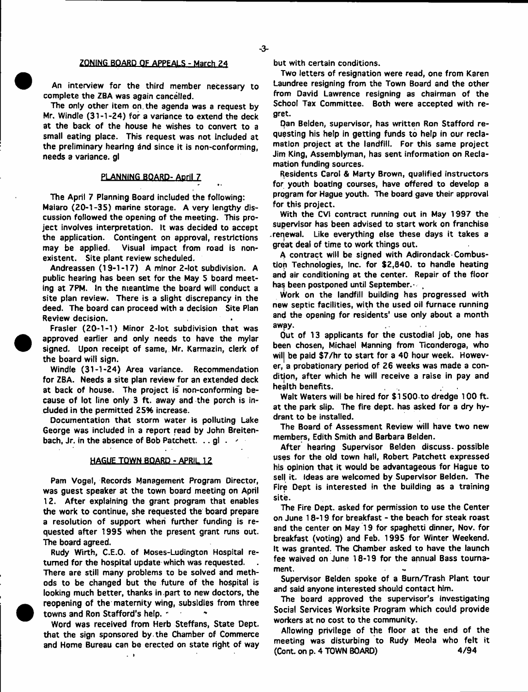## ZONING BOARD OF APPEALS - March 24

An interview for the third member necessary to complete the ZBA was again cancelled.

The only other item on. the agenda was a request by Mr. Windle (31-1-24) for a variance to extend the deck at the back of the house he wishes to convert to a small eating place. This request was not included at the preliminary hearing and since it is non-conforming, needs a variance, gl

#### **PLANNING BQARP- April 7**

The April 7 Planning Board included the following: Maiaro (20-1-35) marine storage. A very lengthy discussion followed the opening of the meeting. This project involves interpretation. It was decided to accept the application. Contingent on approval, restrictions may be applied. Visual impact from road is nonexistent. Site plant review scheduled.

Andreassen (19-1-17) A minor 2-lot subdivision. A public hearing has been set for the May 5 board meeting at 7PM. In the meantime the board will conduct a site plan review. There is a slight discrepancy in the deed. The board can proceed with a decision Site Plan Review decision.

Frasier (20-1-1) Minor 2-lot subdivision that was approved earlier and only needs to have the mylar signed. Upon receipt of same, Mr. Karmazin, clerk of the board wilt sign.

Windle (31-1-24) Area variance. Recommendation for ZBA. Needs a site plan review for an extended deck at back of house. The project is non-conforming because of lot line only 3 ft. away and the porch is included in the permitted 25% increase.

Documentation that storm water is polluting Lake George was included in a report read by John Breitenbach, Jr. in the absence of Bob Patchett.  $\dots$  gl  $\dots$ 

#### HAGUE TOWN BOARD - APRIL 12

Pam Vogel, Records Management Program Director, was guest speaker at the town board meeting on April 12. After explaining the grant program that enables the work to continue, she requested the board prepare a resolution of support when further funding is requested after 1995 when the present grant runs out. The board agreed.

Rudy Wirth, C.E.O. of Moses-Ludington Hospital returned for the hospital update which was requested. There are still many problems to be solved and methods to be changed but the future of the hospital is looking much better, thanks in part to new doctors, the reopening of the maternity wing, subsidies from three towns and Ron Stafford's help. \*

Word was received from Herb Steffans, State Dept, that the sign sponsored by the Chamber of Commerce and Home Bureau can be erected on state right of way

 $\sim 1$ 

but with certain conditions.

Two letters of resignation were read, one from Karen Laundree resigning from the Town Board and the other from David Lawrence resigning as chairman of the School Tax Committee. Both were accepted with regret.

pan Belden, supervisor, has written Ron Stafford requesting his help in getting funds to help in our reclamation project at the landfill. For this same project Jim King, Assemblyman, has sent information on Reclamation funding sources.

Residents Carol & Marty Brown, qualified instructors for youth boating courses, have offered to develop a program for Hague youth. The board gave their approval for this project.

With the CVI contract running out in May 1997 the supervisor has been advised to start work on franchise .renewal. Like everything else these days it takes a great deal of time to work things out.

A contract will be signed with Adirondack Combustion Technologies, Inc. for \$2,840. to handle heating and air conditioning at the center. Repair of the floor has been postponed until September.-

Work on the landfill building has progressed with new septic facilities, with the used oil furnace running and the opening for residents' use only about a month away.

Out of 13 applicants for the custodial job, one has been chosen, Michael Manning from Ticonderoga, who wil| be paid \$7/hr to start for a 40 hour week. However, a probationary period of 26 weeks was made a condition, after which he will receive a raise in pay and health benefits.

Walt Waters will be hired for \$1500 to dredge 100 ft. at the park slip. The fire dept, has asked for a dry hydrant to be installed.

The Board of Assessment Review will have two new members, Edith Smith and Barbara Belden.

After hearing Supervisor Belden discuss, possible uses for the old town hall, Robert Patchett expressed his opinion that it would be advantageous for Hague to sell it. Ideas are welcomed by Supervisor Belden. The Fire Dept is interested in the building as a training site.

The Fire Dept, asked for permission to use the Center on June 18-19 for breakfast - the beach for steak roast and the center on May 19 for spaghetti dinner, Nov. for breakfast (voting) and Feb. 1995 for Winter Weekend. It was granted. The Chamber asked to have the launch fee waived on June 18-19 for the annual Bass tournament.

Supervisor Belden spoke of a Bum/Trash Plant tour and said anyone interested should contact him.

The board approved the supervisor's investigating Social Services Worksite Program which could provide workers at no cost to the community.

Allowing privilege of the floor at the end of the meeting was disturbing to Rudy Meola who felt it (Cont. on p. 4 TOWN BOARD) 4/94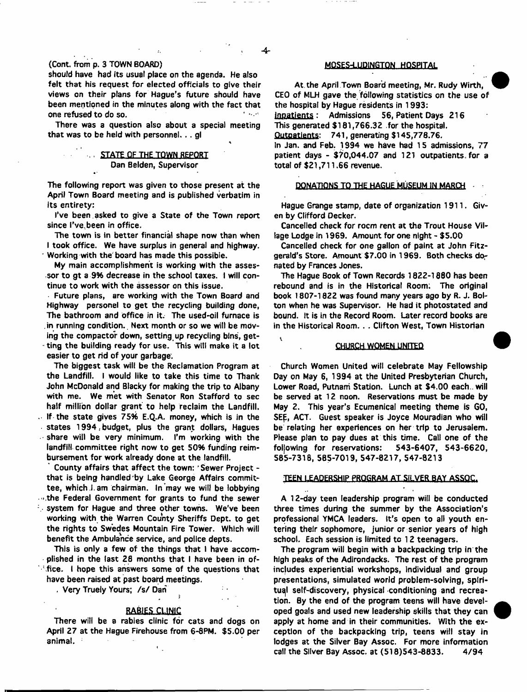$\overline{\mathbf{A}}$ 

## (Cont. from p. 3 TOWN BOARD)

should have had its usual place on the agenda. He also felt that his request for elected officials to give their views on their plans for Hague's future should have been mentioned in the minutes along with the fact that<br>can refused to do so one refused to do so.

There was a question also about a special meeting that was to be held with personnel...gl

## **STATE QF THE TOWN REPORT** Dan Belden, Supervisor

The following report was given to those present at the April Town Board meeting and is published verbatim in its entirety:

I've been asked to give a State of the Town report since I've,been in office.

The town is in better financial shape now than when I took office. We have surplus in general and highway. ' Working with the board has made this possible.

My main accomplishment is working with the assessor to gt a 996 decrease in the school taxes. I mil continue to work with the assessor on this issue.

Future plans, are working with the Town Board and Highway personel to get the recycling building done, The bathroom and office in it. The used-oil furnace is in running condition.. Next month or so we will be moving the compactor down, setting up recycling bins, getting the building ready for use. This will make it a lot easier to get rid of your garbage.

The biggest task will be the Reclamation Program at the Landfill. I would like to take this time to Thank John McDonald and Blacky for making the trip to Albany with me. We met with Senator Ron Stafford to sec half million dollar grant to help reclaim the Landfill.

If the state gives 75% E.Q.A. money, which is in the states 1994 , budget, plus the grant dollars, Hagues share will be very minimum. I'm working with the landfill committee right now to get 50% funding reimbursement for work already done at the landfill.

County affairs that affect the town: 'Sewer Project that is being handled by Lake George Affairs committee, which I am chairman. In may we will be lobbying - the Federal Government for grants to fund the sewer system for Hague and three other towns. We've been working with the Warren County Sheriffs Dept, to get

the rights to Swedes Mountain Fire Tower. Which will benefit the Ambulance service, and police depts.

This is only a few of the things that I have accomplished in the last 28 months that I have been in of-  $\frac{1}{2}$  fice. I hope this answers some of the questions that

have been raised at past board meetings. . Very Truely Yours; /s/ Dan

## **RABIES CLINIC**

There will be a rabies clinic for cats and dogs on April 27 at the Hague Firehouse from 6-8PM. \$5.00 per animal.

## MQSES-LUDINGTQN HOSPITAL

At the April Town Board meeting, Mr. Rudy Wirth, CEO of MLH gave the following statistics on the use of the hospital by Hague residents in 1993:

Inpatients : Admissions 56, Patient Days 216 This generated \$181,766.32 for the hospital.

Outpatients: 741, generating \$145,778.76.

In Jan. and Feb. 1994 we have had 15 admissions, 77 patient days - \$70,044.07 and 121 outpatients, for a total of \$21,711.66 revenue.

#### DONATIONS TO THE HAGUE MUSEUM IN MARCH

Hague Grange stamp, date of organization 1911. Given by Clifford Decker.

Cancelled check for rocm rent at the Trout House Village Lodge in 1969. Amount for one night - \$5.00

Cancelled check for one gallon of paint at John Fitzgerald's Store. Amount \$7.00 in 1969. Both checks do^ nated by Frances Jones.

The Hague Book of Town Records 1822-1880 has been rebound and is in the Historical Room; The original book 1807-1822 was found many years ago by R. J. Bolton when he was Supervisor. He had it photostated and bound. It is in the Record Room. Later record books are in the Historical Room. . . Clifton West, Town Historian

#### **CHURCH WOMEN UNITED**

Church Women United wilt celebrate May Fellowship Day on May 6, 1994 at the United Presbyterian Church, Lower Road, Putnam Station. Lunch at \$4.00 each. will be served at 12 noon. Reservations must be made by May 2. This year's Ecumenical meeting theme is GO, SEf, ACT. Guest speaker is Joyce Mouradian who will be relating her experiences on her trip to Jerusalem. Please plan to pay dues at this time. Call one of the fof|owing for reservations: 543-6407, 543-6620, 565-7318, 585-7019, 547-8217, 547-8213

#### TEEN LEADERSHIP PROGRAM AT SILVER BAY ASSOC.

A 12-day teen leadership program will be conducted three times during the summer by the Association's professional YMCA leaders. It's open to all youth entering their sophomore, junior or senior years of high school. Each session is limited to 12 teenagers.

The program will begin with a backpacking trip in the high peaks of the Adirondacks. The rest of the program includes experiential workshops, individual and group presentations, simulated world problem-solving, spiritual self-discovery, physical conditioning and recreation. By the end of the program teens will have developed goals and used new leadership skills that they can apply at home and in their communities. With the exception of the backpacking trip, teens will stay in lodges at the Silver Bay Assoc. For more information call the Silver Bay Assoc, at (518)543-8833. 4/94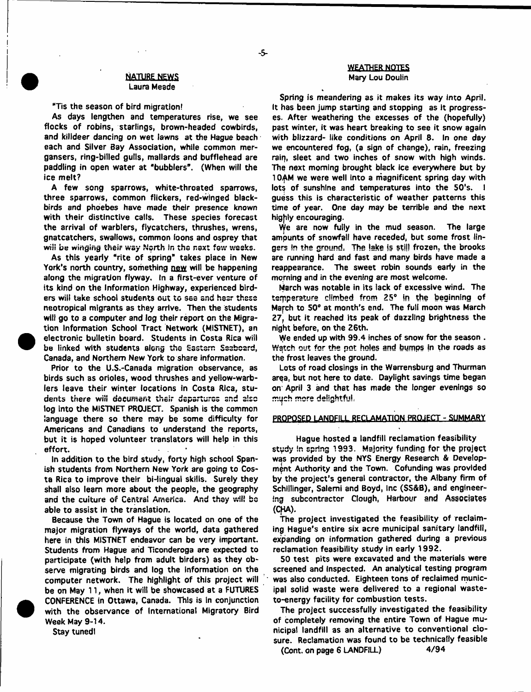## **WEATHER NOTES** Mary Lou Oouiin

## **MATURE NEWS** Laura Meade

"Tis the season of bird migration!

As days lengthen and temperatures rise, we see flocks of robins, starlings, brown-headed cowbirds, and killdeer dancing on wet lawns at the Hague beach. each and Silver Bay Association, while common mergansers, ring-billed gulls, mallards and bufflehead are paddling in open water at "bubblers". (When will the ice melt?

A few song sparrows, white-throated sparrows, three sparrows, common flickers, red-winged blackbirds and phoebes have made their presence known with their distinctive calls. These species forecast the arrival of warblers, flycatchers, thrushes, wrens, gnatcatchers, swallows, common loons and osprey that will be winging their way North in the next few weeks.

As this yearly "rite of spring" takes place in New York's north country, something new will be happening along the migration flyway. In a first-ever venture of its kind on the Information Highway, experienced birders will take school students out to sea and hasr these neotropical migrants as they arrive. Then the students will go to a computer and log their report on the Migration Information School Tract Network (MISTNET), an electronic bulletin board. Students in Costa Rica wilt be linked with students along the Eastern Seaboard, Canada, and Northern New York to share information.

Prior to the U.S.-Canada migration observance, as birds such as orioles, wood thrushes and yellow-warblers leave their winter locations in Costa Rica, students there will document their departures snd sisc log into the MISTNET PROJECT. Spanish is the common language there so there may be some difficulty for Americans and Canadians to understand the reports, but it is hoped volunteer translators will help in this effort.

In addition to the bird study, forty high school Spanish students from Northern New York are going to Costa Rica to improve their bi-lingual skills. Surely they shall also leam more about the people, the geography and the culture of Central America. And they will bo able to assist in the translation.

Because the Town of Hague is located on one of the major migration ftyways of the world, data gathered here in this MISTNET endeavor can be very important. Students from Hague and Ticonderoga are expected to participate (with help from adult birders) as they observe migrating birds and log the Information on the computer network. The highlight of this project will be on May 11, when it will be showcased at a FUTURES CONFERENCE in Ottawa, Canada. This is In conjunction with the observance of International Migratory Bird Week May 9-14.

Stay tuned!

Spring is meandering as it makes its way into April. It has been jump starting and stopping as it progresses. After weathering the excesses of the (hopefully) past winter, it was heart breaking to see it snow again with blizzard- like conditions on April 8. In one day we encountered fog, (a sign of change), rain, freezing rain, sleet and two inches of snow with high winds. The next morning brought black ice everywhere but by 10AM we were well into a magnificent spring day with lots of sunshine and temperatures into the 50's. I quess this is characteristic of weather patterns this time of year. One day may be terrible and the next highly encouraging.

We are now fully in the mud season. The large ampunts of snowfall have receded, but some frost lingers in the ground. The lake is still frozen, the brooks are running hard and fast and many birds have made a reappearance. The sweet robin sounds early in the morning and in the evening are most welcome.

March was notable in its lack of excessive wind. The temperature climbed from 25° in the beginning of Mafch to 50® at month's end. The full moon was March 27, but it reached its peak of dazzling brightness the night before, on the 26th.

We ended up with 99.4 inches of snow for the season . Watch out for the pot holes and bumps in the roads as the frost leaves the ground.

Lots of road closings in the Warrensburg and Thurman arqa, but not here to date. Daylight savings time began on April 3 and that has made the longer evenings so much more delightful.

## PROPOSED LANDFILL RECLAMATION PROJECT - SUMMARY

Hague hosted a landfill reclamation feasibility study in spring 1993. Majority funding for the project was provided by the NYS Energy Research & Development Authority and the Town. Cofunding was provided by the project's general contractor, the Albany firm of Schillinger, Salemi and Boyd, inc (SS&B), and engineering subcontractor Clough, Harbour and **Associates** (CfiA).

The project investigated the feasibility of reclaiming Hague's entire six acre municipal sanitary tandfill, expanding on information gathered during a previous reclamation feasibility study in early 1992.

50 test pits were excavated and the materials were screened and inspected. An analytical testing program was also conducted. Eighteen tons of reclaimed municipal solid waste were delivered to a regional wasteto-energy facility for combustion tests.

The project successfully investigated the feasibility of completely removing the entire Town of Hague municipal landfill as an alternative to conventional closure. Reclamation was found to be technically feasible<br>(Cont. on page 6 | ANDFILL) 4/94

(Cont. on page  $6$  LANDFILL)

 $-5-$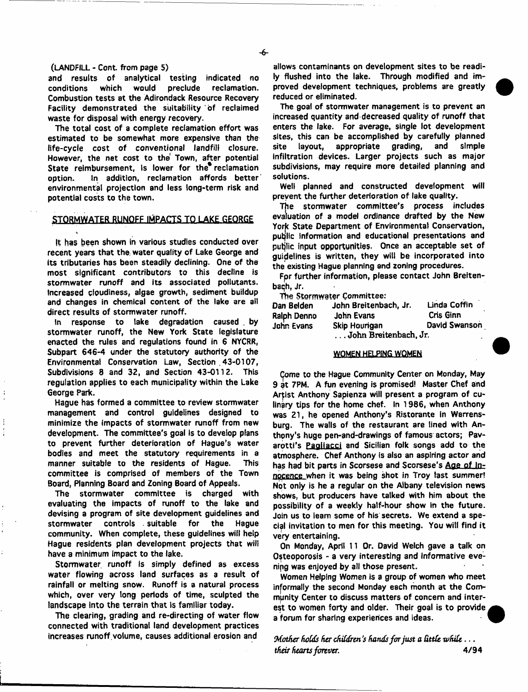-6-

#### (LANDFILL - Cont. from page 5)

and results of analytical testing indicated no conditions which would preclude reclamation. Combustion tests at the Adirondack Resource Recovery Facility demonstrated the suitability of reclaimed waste for disposal with energy recovery.

The total cost of a complete reclamation effort was estimated to be somewhat more expensive than the life-cycle cost of conventional landfill closure. However, the net cost to the Town, after potential State reimbursement, is lower for the reclamation option. In addition, reclamation affords better environmental projection and less long-term risk and potential costs to the town.

## STORMWATER RUNOFF IMPACTS TO LAKE GEORGE

It has been shown in various studies conducted over recent years that the water quality of Lake George and its tributaries has been steadily declining. One of the most significant contributors to this decline is stormwater runoff and its associated pollutants. Increased cloudiness, algae growth, sediment buildup and changes in chemical content of the lake are all direct results of stormwater runoff.

In response to lake degradation caused by stormwater runoff, the New York State legislature enacted the rules and regulations found in 6 NYCRR, Subpart 646-4 under the statutory authority of the Environmental Conservation Law, Section .43-0107, Subdivisions 8 and 32, and Section 43-0112. This regulation applies to each municipality within the Lake George Park.

Hague has formed a committee to review stormwater management and control guidelines designed to minimize the impacts of stormwater runoff from new development. The committee's goal is to develop plans to prevent further deterioration of Hague's water bodies and meet the statutory requirements in a manner suitable to the residents of Hague. This committee is comprised of members of the Town Board, Planning Board and Zoning Board of Appeals.

The stormwater committee is charged with evaluating the impacts of runoff to the lake and devising a program of site development guidelines and stormwater controls suitable for the Hague community. When complete, these guidelines will help Hague residents plan development projects that will have a minimum impact to the lake.

Stormwater runoff is simply defined as excess water flowing across land surfaces as a result of rainfall or melting snow. Runoff is a natural process which, over very long periods of time, sculpted the landscape into the terrain that is familiar today.

The clearing, grading and re-directing of water flow connected with traditional land development practices increases runoff volume, causes additional erosion and

allows contaminants on development sites to be readily flushed into the lake. Through modified and improved development techniques, problems are greatly reduced or eliminated.

The goal of stormwater management is to prevent an increased quantity and decreased quality of runoff that enters the lake. For *average,* single lot development sites, this can be accomplished by carefully planned site layout, appropriate grading, and simple Infiltration devices. Larger projects such as major subdivisions, may require more detailed planning and solutions.

Well planned and constructed development will prevent the further deterioration of lake quality.

The stormwater committee's process includes evaluation of a model ordinance drafted by the New York State Department of Environmental Conservation, putjlic information and educational presentations and public input opportunities. Once an acceptable set of guidelines is written, they will be incorporated into the existing Hague planning and zoning procedures.

Fpr further information, please contact John Breitenbach, Jr.

The Stormwater Committee:

| Dan Belden         | John Breitenbach, Jr. |
|--------------------|-----------------------|
| <b>Ralph Denno</b> | John Evans            |
| John Evans         | Skip Hourigan         |
|                    | John Breitenbach      |

Linda Coffin Cris Ginn David Swanson 1, Jr.

## WOMEN HELPING WOMEN

Come to the Hague Community Center on Monday, May 9 at 7PM. A fun evening is promised! Master Chef and Artist Anthony Sapienza will present a program of culinary tips for the home chef. In 1986, when Anthony was 21, he opened Anthony's Ristorante in Warrensburg. The walls of the restaurant are lined with Anthony's huge pen-and-drawings of famous actors; Pavarotti's Pagliacci and Sicilian folk songs add to the atmosphere. Chef Anthony is also an aspiring actor and has had bit parts in Scorsese and Scorsese's Age of Innocence when it was being shot in Troy last summer! Not only is he a regular on the Albany television news shows, but producers have talked with him about the possibility of a weekly half-hour show in the future. Join us to learn some of his secrets. We extend a special invitation to men for this meeting. You will find it very entertaining.

On Monday, April 11 Or. David Welch gave a talk on Osteoporosis - a very interesting and informative evening was enjoyed by all those present.

Women Helping Women is a group of women who meet informally the second Monday each month at the Community Center to discuss matters of concern and interest to women forty and older. Their goal is to provide a forum for sharing experiences and ideas.

*Mother holds her children's hands for just a little while*... *their hearts forever.* 4/94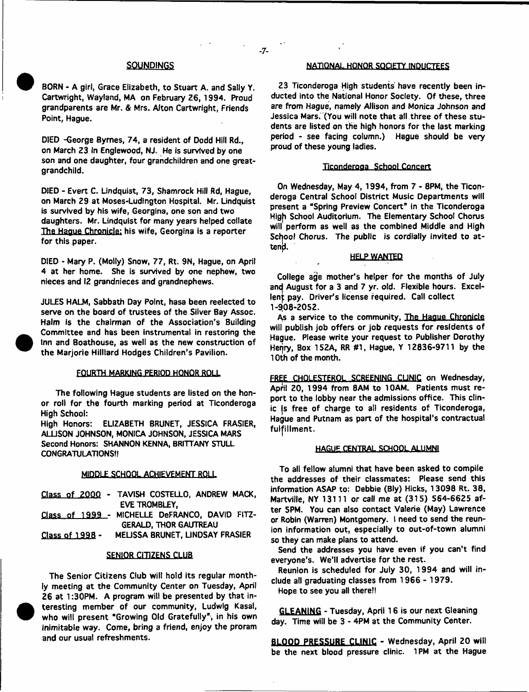BORN - A girl, Grace Elizabeth, to Stuart A. and Sally Y. Cartwright, Wayland, MA on February 26, 1994. Proud grandparents are Mr. & Mrs. Alton Cartwright, Friends Point, Hague.

DIED -George Byrnes, 74, a resident of Dodd Hill Rd., on March 23 In Englewood, NJ. He is survived by one son and one daughter, four grandchildren and one greatgrandchild.

DIED - Evert C. Lindquist, 73, Shamrock Hill Rd, Hague, on March 29 at Moses-Ludlngton Hospital. Mr. Lindquist is survived by his wife, Georgina, one son and two daughters. Mr. Lindquist for many years helped collate The Hague Chronicle: his wife, Georgina is a reporter for this paper.

DIED - Mary P. (Molly) Snow, 77, Rt. 9N, Hague, on April 4 at her home. She is survived by one nephew, two nieces and 12 grandnieces and grandnephews.

JULES HALM, Sabbath Day Point, hasa been reelected to serve on the board of trustees of the Silver Bay Assoc. Halm is the chairman of the Association's Building Committee and has been instrumental in restoring the Inn and Boathouse, as well as the new construction of the Marjorie Hilliard Hodges Children's Pavilion.

## **FOURTH MARKING PERIOD HQNQR ROLL**

The following Hague students are listed on the honor roll for the fourth marking period at Ticonderoga High School:

High Honors: ELIZABETH BRUNET, JESSICA FRASIER, ALLISON JOHNSON, MONICA JOHNSON, JESSICA MARS Second Honors: SHANNON KENNA, BRITTANY STULL CONGRATULATIONS!!

## MIDDLE SCHOOL ACHIEVEMENT ROLL

|               |  |  |  |  | Class of 2000 - TAVISH COSTELLO, ANDREW MACK,  |  |  |  |  |  |  |
|---------------|--|--|--|--|------------------------------------------------|--|--|--|--|--|--|
| EVE TROMBLEY. |  |  |  |  |                                                |  |  |  |  |  |  |
|               |  |  |  |  | Class of 1999 - MICHELLE DeFRANCO, DAVID FITZ- |  |  |  |  |  |  |

GERALD, THOR GAUTREAU

Class of 199B - MEUSSA BRUNET, UNDSAY FRASIER

#### SENIOR CITIZENS CLUB

The Senior Citizens Club will hold its regular monthly meeting at the Community Center on Tuesday, April 26 at 1:30PM. A program will be presented by that interesting member of our community, Ludwig Kasai, who will present "Growing Old Gratefully", in his own inimitable way. Come, bring a friend, enjoy the proram and our usual refreshments.

## **SOUNDINGS NATIONAL HONOR SOCIETY INDUCTEES**

23 Ticonderoga High students have recently been inducted into the National Honor Society. Of these, three are from Hague, namely Allison and Monica Johnson and Jessica Mars. (You will note that all three of these students are listed on the high honors for the last marking period - see facing column.) Hague should be very proud of these young ladies.

## Ticonderoga School Concert

On Wednesday, May 4, 1994, from 7 - 8PM, the Ticonderoga Central School District Music Departments will present a "Spring Preview Concert" in the Ticonderoga Higfi School Auditorium. The Elementary School Chorus will perform as well as the combined Middle and High School Chorus. The public is cordially invited to attend

## **HELP WANTED**

College age mother's helper for the months of July and August for a 3 and 7 yr. old. Flexible hours. Excellent pay. Driver's license required. Call collect 1-9(08-2052.

As a service to the community, The Hague Chronicle will publish job offers or job requests for residents of Hague. Please write your request to Publisher Dorothy Herjry, Box 152A, RR #1, Hague, Y 12836-9711 by the 10th of the month.

FREE CHOLESTEROL SCREENING CUNIC on Wednesday, April 20, 1994 from SAM to 10AM. Patients must report to the lobby near the admissions office. This clinic Is free of charge to all residents of Ticonderoga, Hague and Putnam as part of the hospital's contractual fulfillment.

#### HAGUE CENTRAL SCHOOL ALUMNI

To all fellow alumni that have been asked to compile the addresses of their classmates: Please send this information ASAP to: Debbie (Bly) Hicks, 13098 Rt. 38, Martville, NY 13111 or call me at (315) 564-6625 after 5PM. You can also contact Valerie (May) Lawrence or Robin (Warren) Montgomery. I need to send the reunion information out, especially to out-of-town alumni so they can make plans to attend.

Send the addresses you have even if you can't find everyone's. We'll advertise for the rest.

Reunion is scheduled for July 30, 1994 and will include all graduating classes from 1966 - 1979.

Hope to see you all there!!

GLEANING - Tuesday, April 16 is our next Gleaning day. Time will be 3 - 4PM at the Community Center.

BLOOD PRESSURE CLINIC - Wednesday, April 20 will be the next blood pressure clinic. 1PM at the Hague